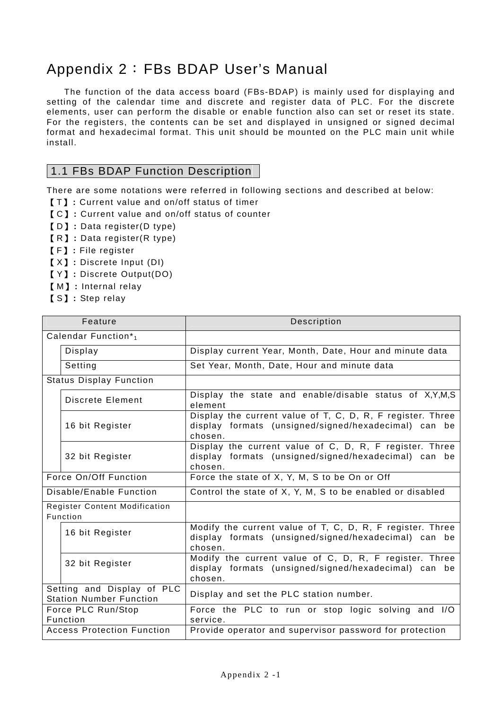# Appendix 2:FBs BDAP User's Manual

 The function of the data access board (FBs-BDAP) is mainly used for displaying and setting of the calendar time and discrete and register data of PLC. For the discrete elements, user can perform the disable or enable function also can set or reset its state. For the registers, the contents can be set and displayed in unsigned or signed decimal format and hexadecimal format. This unit should be mounted on the PLC main unit while install.

# 1.1 FBs BDAP Function Description

There are some notations were referred in following sections and described at below:

- 【 T】 **:** Current value and on/off status of timer
- 【 C】 **:** Current value and on/off status of counter
- 【 D】 **:** Data register(D type)
- 【 R】 **:** Data register(R type)
- 【 F】 **:** File register
- 【 X】 **:** Discrete Input (DI)
- 【 Y】 **:** Discrete Output(DO)
- 【 M】 **:** Internal relay
- 【 S】 **:** Step relay

| Feature                                                      | Description                                                                                                                     |
|--------------------------------------------------------------|---------------------------------------------------------------------------------------------------------------------------------|
| Calendar Function*1                                          |                                                                                                                                 |
| Display                                                      | Display current Year, Month, Date, Hour and minute data                                                                         |
| Setting                                                      | Set Year, Month, Date, Hour and minute data                                                                                     |
| <b>Status Display Function</b>                               |                                                                                                                                 |
| Discrete Element                                             | Display the state and enable/disable status of X,Y,M,S<br>element                                                               |
| 16 bit Register                                              | Display the current value of T, C, D, R, F register. Three<br>display formats (unsigned/signed/hexadecimal) can be<br>chosen.   |
| 32 bit Register                                              | Display the current value of C, D, R, F register. Three<br>display formats (unsigned/signed/hexadecimal) can be<br>chosen.      |
| Force On/Off Function                                        | Force the state of X, Y, M, S to be On or Off                                                                                   |
| Disable/Enable Function                                      | Control the state of X, Y, M, S to be enabled or disabled                                                                       |
| <b>Register Content Modification</b><br>Function             |                                                                                                                                 |
| 16 bit Register                                              | Modify the current value of T, C, D, R, F register. Three<br>display formats (unsigned/signed/hexadecimal) can<br>be<br>chosen. |
| 32 bit Register                                              | Modify the current value of C, D, R, F register. Three<br>display formats (unsigned/signed/hexadecimal) can<br>be<br>chosen.    |
| Setting and Display of PLC<br><b>Station Number Function</b> | Display and set the PLC station number.                                                                                         |
| Force PLC Run/Stop<br>Function                               | Force the PLC to run or stop logic solving and I/O<br>service.                                                                  |
| <b>Access Protection Function</b>                            | Provide operator and supervisor password for protection                                                                         |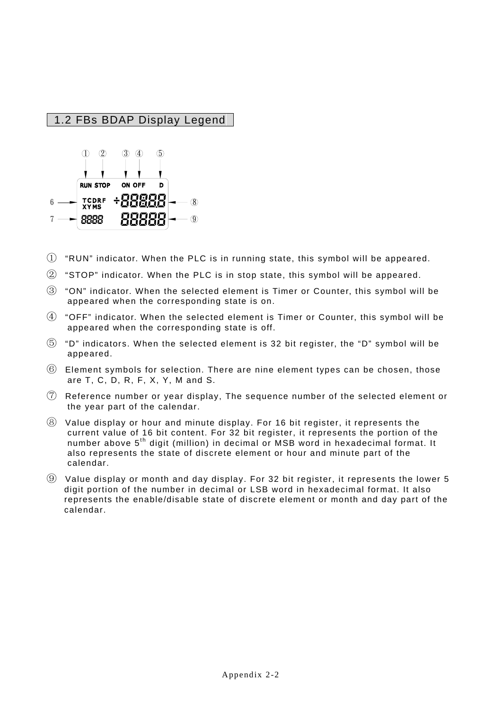# 1.2 FBs BDAP Display Legend



- $\overline{1}$  "RUN" indicator. When the PLC is in running state, this symbol will be appeared.
- ② "STOP" indicator. When the PLC is in stop state, this symbol will be appeared.
- ③ "ON" indicator. When the selected element is Timer or Counter, this symbol will be appeared when the corresponding state is on.
- ④ "OFF" indicator. When the selected element is Timer or Counter, this symbol will be appeared when the corresponding state is off.
- $\overline{5}$  "D" indicators. When the selected element is 32 bit register, the "D" symbol will be appeared.
- ⑥ Element symbols for selection. There are nine element types can be chosen, those are T, C, D, R, F, X, Y, M and S.
- ⑦ Reference number or year display, The sequence number of the selected element or the year part of the calendar.
- ⑧ Value display or hour and minute display. For 16 bit register, it represents the current value of 16 bit content. For 32 bit register, it represents the portion of the number above  $5<sup>th</sup>$  digit (million) in decimal or MSB word in hexadecimal format. It also represents the state of discrete element or hour and minute part of the calendar.
- ⑨ Value display or month and day display. For 32 bit register, it represents the lower 5 digit portion of the number in decimal or LSB word in hexadecimal format. It also represents the enable/disable state of discrete element or month and day part of the calendar.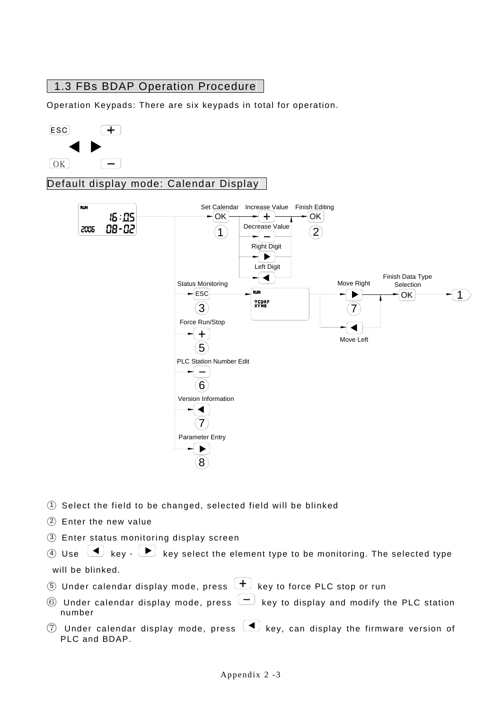# 1.3 FBs BDAP Operation Procedure

Operation Keypads: There are six keypads in total for operation.



Default display mode: Calendar Display



- ○<sup>1</sup> Select the field to be changed, selected field will be blinked
- ○<sup>2</sup> Enter the new value
- ○<sup>3</sup> Enter status monitoring display screen

 $\overline{4}$  Use  $\overline{4}$  key  $\overline{5}$  key select the element type to be monitoring. The selected type will be blinked.

- $\overline{5}$  Under calendar display mode, press  $\overline{+}$  key to force PLC stop or run
- $\circledR$  Under calendar display mode, press  $\leftarrow$  key to display and modify the PLC station number
- $\circled{7}$  Under calendar display mode, press  $\circled{4}$  key, can display the firmware version of PLC and BDAP.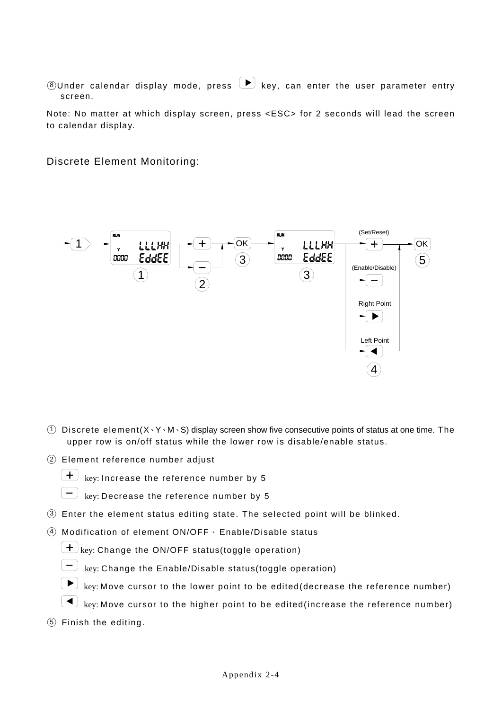$\circledR$  Under calendar display mode, press  $\bullet$  key, can enter the user parameter entry screen.

Note: No matter at which display screen, press <ESC> for 2 seconds will lead the screen to calendar display.

Discrete Element Monitoring:



- $(1)$  Discrete element $(X, Y, M, S)$  display screen show five consecutive points of status at one time. The upper row is on/off status while the lower row is disable/enable status.
- ○<sup>2</sup> Element reference number adjust



 $\left(\frac{+}{+}\right)$  key: Increase the reference number by 5

 $\boxed{-}$  key: Decrease the reference number by 5

- $\overline{3}$  Enter the element status editing state. The selected point will be blinked.
- $\overline{4}$  Modification of element ON/OFF  $\cdot$  Enable/Disable status

 $\left(\frac{1}{\epsilon}\right)$  key: Change the ON/OFF status(toggle operation)



 $\Box$  key: Change the Enable/Disable status(toggle operation)



- $\Box$  key: Move cursor to the higher point to be edited(increase the reference number)
- ○<sup>5</sup> Finish the editing.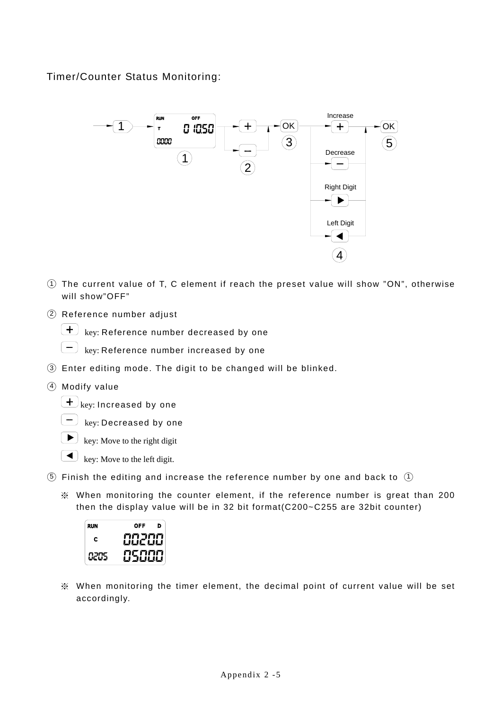# Timer/Counter Status Monitoring:



- ○<sup>1</sup> The current value of T, C element if reach the preset value will show "ON", otherwise will show"OFF"
- ○<sup>2</sup> Reference number adjust

 $\left(\begin{array}{cc} \begin{array}{ccc} \textbf{+} \end{array} \end{array} \right)$  key: Reference number decreased by one

 $\Box$  key: Reference number increased by one

- ○<sup>3</sup> Enter editing mode. The digit to be changed will be blinked.
- ○<sup>4</sup> Modify value

 $(\pm)$ <sub>key:</sub> Increased by one

 $\boxed{-}$  key: Decreased by one

 $\left(\begin{array}{c} \bullet \end{array}\right)$  key: Move to the right digit

- $\left( \bigtriangleup \right)$  key: Move to the left digit.
- $(5)$  Finish the editing and increase the reference number by one and back to  $(1)$ 
	- ※ When monitoring the counter element, if the reference number is great than 200 then the display value will be in 32 bit format(C200~C255 are 32bit counter)



※ When monitoring the timer element, the decimal point of current value will be set accordingly.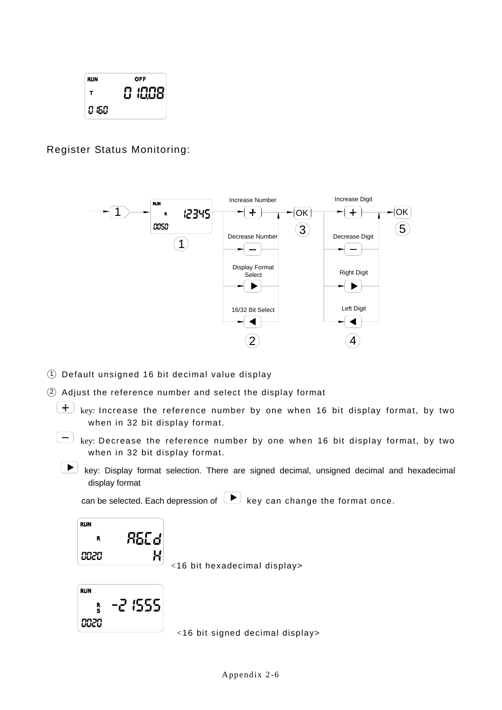

Register Status Monitoring:



- ○<sup>1</sup> Default unsigned 16 bit decimal value display
- ○<sup>2</sup> Adjust the reference number and select the display format
	- $\boxed{\text{+}}$  key: Increase the reference number by one when 16 bit display format, by two when in 32 bit display format.
	- $\boxed{-}$  key: Decrease the reference number by one when 16 bit display format, by two when in 32 bit display format.
	- key: Display format selection. There are signed decimal, unsigned decimal and hexadecimal display format

can be selected. Each depression of  $\Box$  key can change the format once.



 $\left| \begin{array}{l} H \end{array} \right|$  <16 bit hexadecimal display>



<16 bit signed decimal display>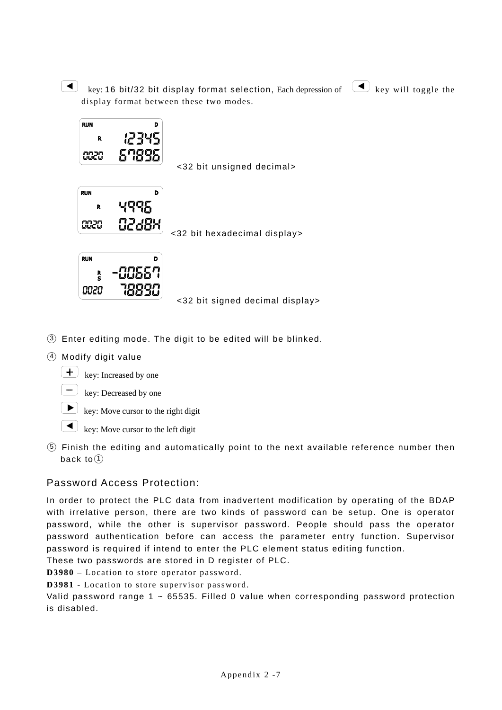key: 16 bit/32 bit display format selection, Each depression of  $\Box$  key will toggle the display format between these two modes.



<32 bit unsigned decimal>



 $\frac{17.004}{20.000}$  <32 bit hexadecimal display>





- ○<sup>3</sup> Enter editing mode. The digit to be edited will be blinked.
- ○<sup>4</sup> Modify digit value



 $\leftarrow$  key: Increased by one  $\begin{pmatrix} - \end{pmatrix}$  key: Decreased by one

 $\boxed{\blacktriangleright}$  key: Move cursor to the right digit

 $\Box$  key: Move cursor to the left digit

○<sup>5</sup> Finish the editing and automatically point to the next available reference number then back to $(1)$ 

### Password Access Protection:

In order to protect the PLC data from inadvertent modification by operating of the BDAP with irrelative person, there are two kinds of password can be setup. One is operator password, while the other is supervisor password. People should pass the operator password authentication before can access the parameter entry function. Supervisor password is required if intend to enter the PLC element status editing function.

These two passwords are stored in D register of PLC.

**D3980** – Location to store operator password.

**D3981** - Location to store supervisor password.

Valid password range 1 ~ 65535. Filled 0 value when corresponding password protection is disabled.